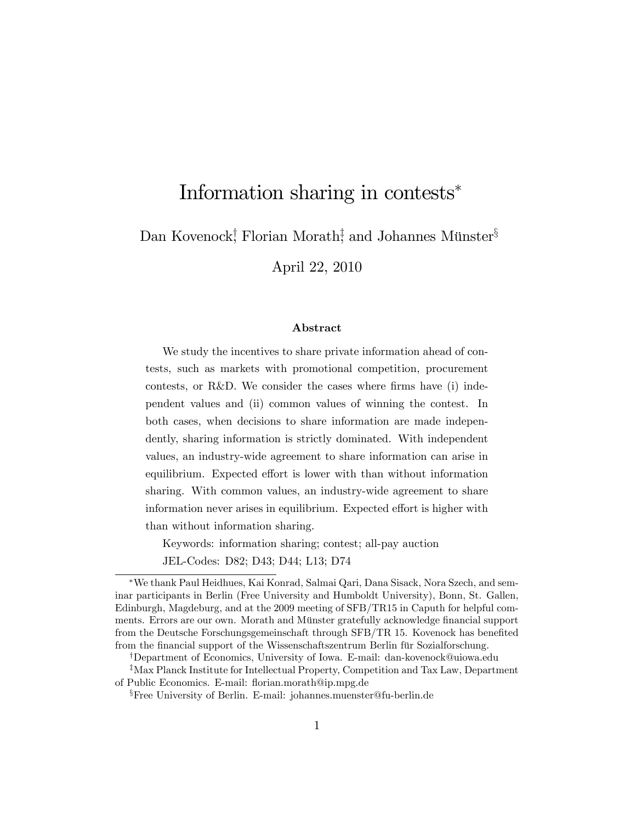# Information sharing in contests

Dan Kovenock<sup>†</sup>, Florian Morath<sup>‡</sup>, and Johannes Münster<sup>§</sup>

April 22, 2010

#### Abstract

We study the incentives to share private information ahead of contests, such as markets with promotional competition, procurement contests, or R&D. We consider the cases where firms have  $(i)$  independent values and (ii) common values of winning the contest. In both cases, when decisions to share information are made independently, sharing information is strictly dominated. With independent values, an industry-wide agreement to share information can arise in equilibrium. Expected effort is lower with than without information sharing. With common values, an industry-wide agreement to share information never arises in equilibrium. Expected effort is higher with than without information sharing.

Keywords: information sharing; contest; all-pay auction

JEL-Codes: D82; D43; D44; L13; D74

We thank Paul Heidhues, Kai Konrad, Salmai Qari, Dana Sisack, Nora Szech, and seminar participants in Berlin (Free University and Humboldt University), Bonn, St. Gallen, Edinburgh, Magdeburg, and at the 2009 meeting of SFB/TR15 in Caputh for helpful comments. Errors are our own. Morath and Münster gratefully acknowledge financial support from the Deutsche Forschungsgemeinschaft through SFB/TR 15. Kovenock has benefited from the financial support of the Wissenschaftszentrum Berlin für Sozialforschung.

<sup>&</sup>lt;sup>†</sup>Department of Economics, University of Iowa. E-mail: dan-kovenock@uiowa.edu

<sup>&</sup>lt;sup>‡</sup>Max Planck Institute for Intellectual Property, Competition and Tax Law, Department of Public Economics. E-mail: áorian.morath@ip.mpg.de

<sup>x</sup>Free University of Berlin. E-mail: johannes.muenster@fu-berlin.de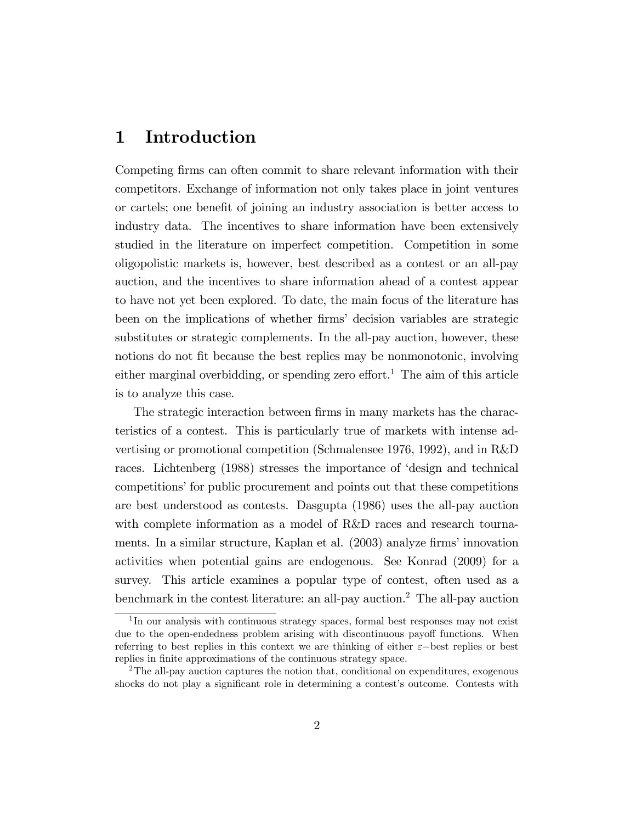### 1 Introduction

Competing firms can often commit to share relevant information with their competitors. Exchange of information not only takes place in joint ventures or cartels; one benefit of joining an industry association is better access to industry data. The incentives to share information have been extensively studied in the literature on imperfect competition. Competition in some oligopolistic markets is, however, best described as a contest or an all-pay auction, and the incentives to share information ahead of a contest appear to have not yet been explored. To date, the main focus of the literature has been on the implications of whether firms' decision variables are strategic substitutes or strategic complements. In the all-pay auction, however, these notions do not fit because the best replies may be nonmonotonic, involving either marginal overbidding, or spending zero effort.<sup>1</sup> The aim of this article is to analyze this case.

The strategic interaction between firms in many markets has the characteristics of a contest. This is particularly true of markets with intense advertising or promotional competition (Schmalensee 1976, 1992), and in R&D races. Lichtenberg (1988) stresses the importance of ëdesign and technical competitions' for public procurement and points out that these competitions are best understood as contests. Dasgupta (1986) uses the all-pay auction with complete information as a model of R&D races and research tournaments. In a similar structure, Kaplan et al. (2003) analyze firms' innovation activities when potential gains are endogenous. See Konrad (2009) for a survey. This article examines a popular type of contest, often used as a benchmark in the contest literature: an all-pay auction.<sup>2</sup> The all-pay auction

<sup>&</sup>lt;sup>1</sup>In our analysis with continuous strategy spaces, formal best responses may not exist due to the open-endedness problem arising with discontinuous payoff functions. When referring to best replies in this context we are thinking of either  $\varepsilon$ -best replies or best replies in finite approximations of the continuous strategy space.

<sup>&</sup>lt;sup>2</sup>The all-pay auction captures the notion that, conditional on expenditures, exogenous shocks do not play a significant role in determining a contest's outcome. Contests with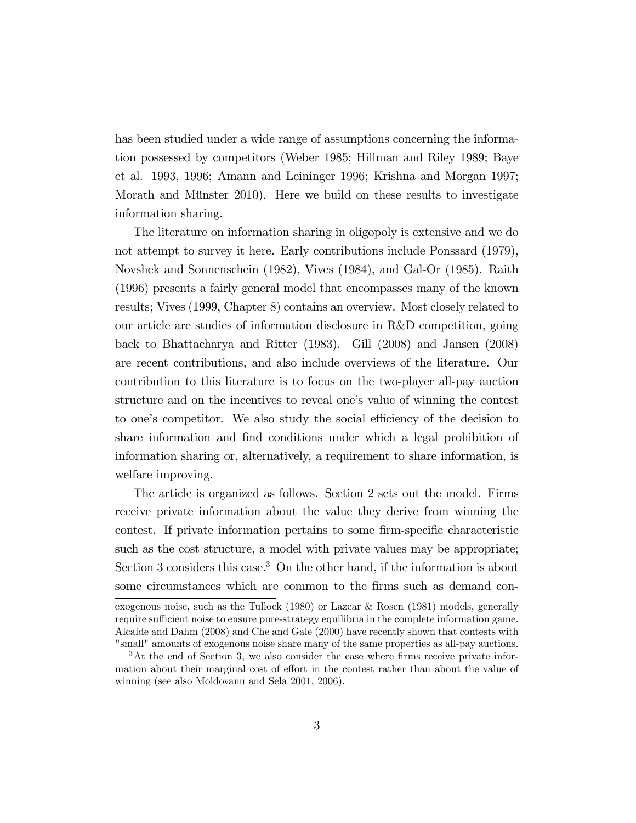has been studied under a wide range of assumptions concerning the information possessed by competitors (Weber 1985; Hillman and Riley 1989; Baye et al. 1993, 1996; Amann and Leininger 1996; Krishna and Morgan 1997; Morath and Münster 2010). Here we build on these results to investigate information sharing.

The literature on information sharing in oligopoly is extensive and we do not attempt to survey it here. Early contributions include Ponssard (1979), Novshek and Sonnenschein (1982), Vives (1984), and Gal-Or (1985). Raith (1996) presents a fairly general model that encompasses many of the known results; Vives (1999, Chapter 8) contains an overview. Most closely related to our article are studies of information disclosure in R&D competition, going back to Bhattacharya and Ritter (1983). Gill (2008) and Jansen (2008) are recent contributions, and also include overviews of the literature. Our contribution to this literature is to focus on the two-player all-pay auction structure and on the incentives to reveal one's value of winning the contest to one's competitor. We also study the social efficiency of the decision to share information and find conditions under which a legal prohibition of information sharing or, alternatively, a requirement to share information, is welfare improving.

The article is organized as follows. Section 2 sets out the model. Firms receive private information about the value they derive from winning the contest. If private information pertains to some firm-specific characteristic such as the cost structure, a model with private values may be appropriate; Section 3 considers this case.<sup>3</sup> On the other hand, if the information is about some circumstances which are common to the firms such as demand con-

exogenous noise, such as the Tullock (1980) or Lazear & Rosen (1981) models, generally require sufficient noise to ensure pure-strategy equilibria in the complete information game. Alcalde and Dahm (2008) and Che and Gale (2000) have recently shown that contests with "small" amounts of exogenous noise share many of the same properties as all-pay auctions.

 $3$ At the end of Section 3, we also consider the case where firms receive private information about their marginal cost of effort in the contest rather than about the value of winning (see also Moldovanu and Sela 2001, 2006).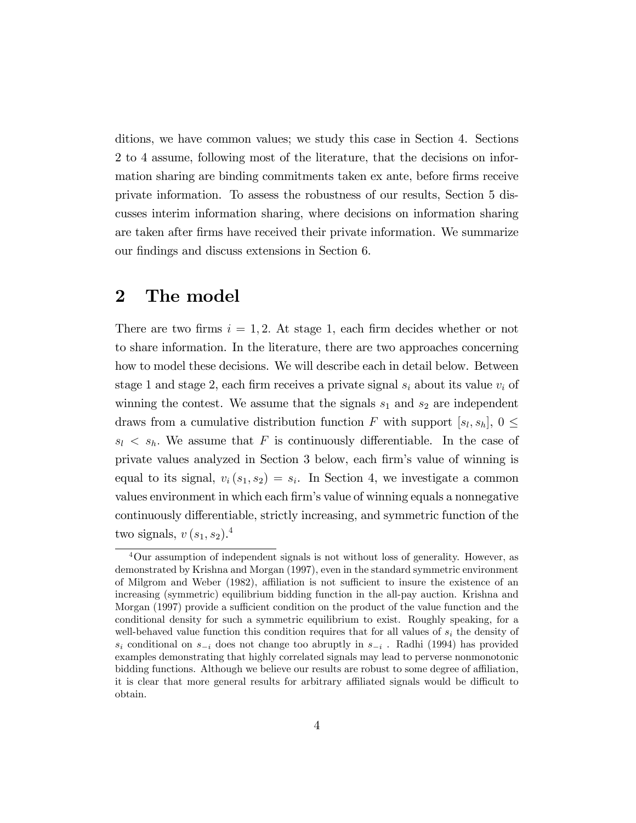ditions, we have common values; we study this case in Section 4. Sections 2 to 4 assume, following most of the literature, that the decisions on information sharing are binding commitments taken ex ante, before firms receive private information. To assess the robustness of our results, Section 5 discusses interim information sharing, where decisions on information sharing are taken after firms have received their private information. We summarize our findings and discuss extensions in Section 6.

### 2 The model

There are two firms  $i = 1, 2$ . At stage 1, each firm decides whether or not to share information. In the literature, there are two approaches concerning how to model these decisions. We will describe each in detail below. Between stage 1 and stage 2, each firm receives a private signal  $s_i$  about its value  $v_i$  of winning the contest. We assume that the signals  $s_1$  and  $s_2$  are independent draws from a cumulative distribution function F with support  $[s_l, s_h]$ ,  $0 \leq$  $s_l \lt s_h$ . We assume that F is continuously differentiable. In the case of private values analyzed in Section 3 below, each Örmís value of winning is equal to its signal,  $v_i(s_1, s_2) = s_i$ . In Section 4, we investigate a common values environment in which each firm's value of winning equals a nonnegative continuously differentiable, strictly increasing, and symmetric function of the two signals,  $v(s_1, s_2)$ .<sup>4</sup>

<sup>4</sup>Our assumption of independent signals is not without loss of generality. However, as demonstrated by Krishna and Morgan (1997), even in the standard symmetric environment of Milgrom and Weber (1982), affiliation is not sufficient to insure the existence of an increasing (symmetric) equilibrium bidding function in the all-pay auction. Krishna and Morgan (1997) provide a sufficient condition on the product of the value function and the conditional density for such a symmetric equilibrium to exist. Roughly speaking, for a well-behaved value function this condition requires that for all values of  $s_i$  the density of  $s_i$  conditional on  $s_{-i}$  does not change too abruptly in  $s_{-i}$ . Radhi (1994) has provided examples demonstrating that highly correlated signals may lead to perverse nonmonotonic bidding functions. Although we believe our results are robust to some degree of affiliation, it is clear that more general results for arbitrary affiliated signals would be difficult to obtain.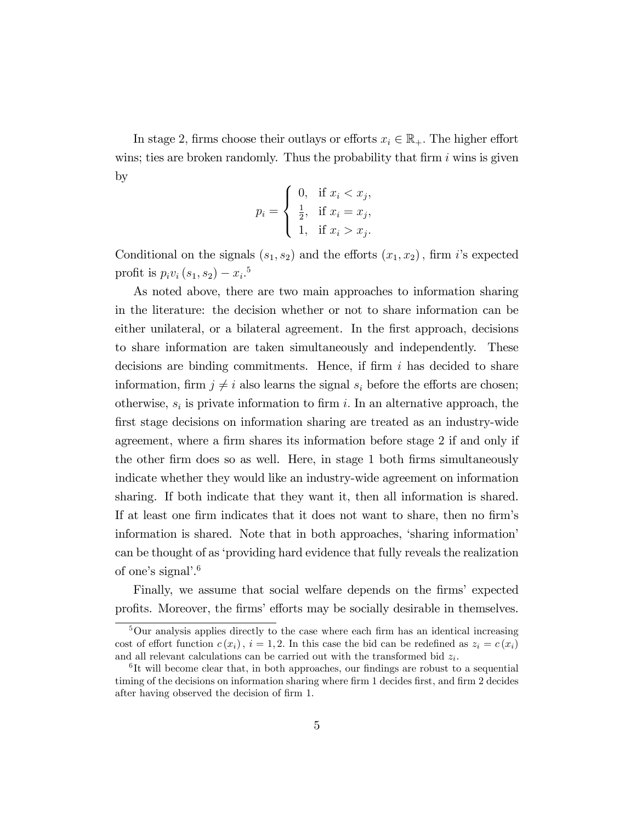In stage 2, firms choose their outlays or efforts  $x_i \in \mathbb{R}_+$ . The higher effort wins; ties are broken randomly. Thus the probability that firm  $i$  wins is given by

$$
p_i = \begin{cases} 0, & \text{if } x_i < x_j, \\ \frac{1}{2}, & \text{if } x_i = x_j, \\ 1, & \text{if } x_i > x_j. \end{cases}
$$

Conditional on the signals  $(s_1, s_2)$  and the efforts  $(x_1, x_2)$ , firm i's expected profit is  $p_i v_i (s_1, s_2) - x_i$ .<sup>5</sup>

As noted above, there are two main approaches to information sharing in the literature: the decision whether or not to share information can be either unilateral, or a bilateral agreement. In the first approach, decisions to share information are taken simultaneously and independently. These decisions are binding commitments. Hence, if firm  $i$  has decided to share information, firm  $j \neq i$  also learns the signal  $s_i$  before the efforts are chosen; otherwise,  $s_i$  is private information to firm i. In an alternative approach, the first stage decisions on information sharing are treated as an industry-wide agreement, where a firm shares its information before stage 2 if and only if the other firm does so as well. Here, in stage 1 both firms simultaneously indicate whether they would like an industry-wide agreement on information sharing. If both indicate that they want it, then all information is shared. If at least one firm indicates that it does not want to share, then no firm's information is shared. Note that in both approaches, 'sharing information' can be thought of as ëproviding hard evidence that fully reveals the realization of one's signal'. $6$ 

Finally, we assume that social welfare depends on the firms' expected profits. Moreover, the firms' efforts may be socially desirable in themselves.

 $5$ Our analysis applies directly to the case where each firm has an identical increasing cost of effort function  $c(x_i)$ ,  $i = 1, 2$ . In this case the bid can be redefined as  $z_i = c(x_i)$ and all relevant calculations can be carried out with the transformed bid  $z_i$ .

 ${}^{6}$ It will become clear that, in both approaches, our findings are robust to a sequential timing of the decisions on information sharing where firm 1 decides first, and firm 2 decides after having observed the decision of firm 1.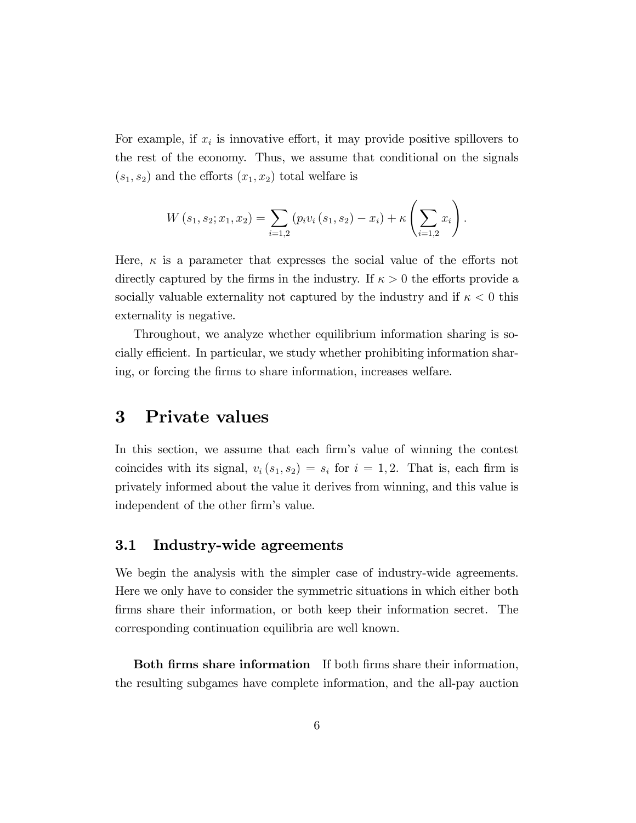For example, if  $x_i$  is innovative effort, it may provide positive spillovers to the rest of the economy. Thus, we assume that conditional on the signals  $(s_1, s_2)$  and the efforts  $(x_1, x_2)$  total welfare is

$$
W(s_1, s_2; x_1, x_2) = \sum_{i=1,2} (p_i v_i (s_1, s_2) - x_i) + \kappa \left( \sum_{i=1,2} x_i \right).
$$

Here,  $\kappa$  is a parameter that expresses the social value of the efforts not directly captured by the firms in the industry. If  $\kappa > 0$  the efforts provide a socially valuable externality not captured by the industry and if  $\kappa < 0$  this externality is negative.

Throughout, we analyze whether equilibrium information sharing is socially efficient. In particular, we study whether prohibiting information sharing, or forcing the Örms to share information, increases welfare.

### 3 Private values

In this section, we assume that each firm's value of winning the contest coincides with its signal,  $v_i(s_1, s_2) = s_i$  for  $i = 1, 2$ . That is, each firm is privately informed about the value it derives from winning, and this value is independent of the other firm's value.

#### 3.1 Industry-wide agreements

We begin the analysis with the simpler case of industry-wide agreements. Here we only have to consider the symmetric situations in which either both firms share their information, or both keep their information secret. The corresponding continuation equilibria are well known.

Both firms share information If both firms share their information, the resulting subgames have complete information, and the all-pay auction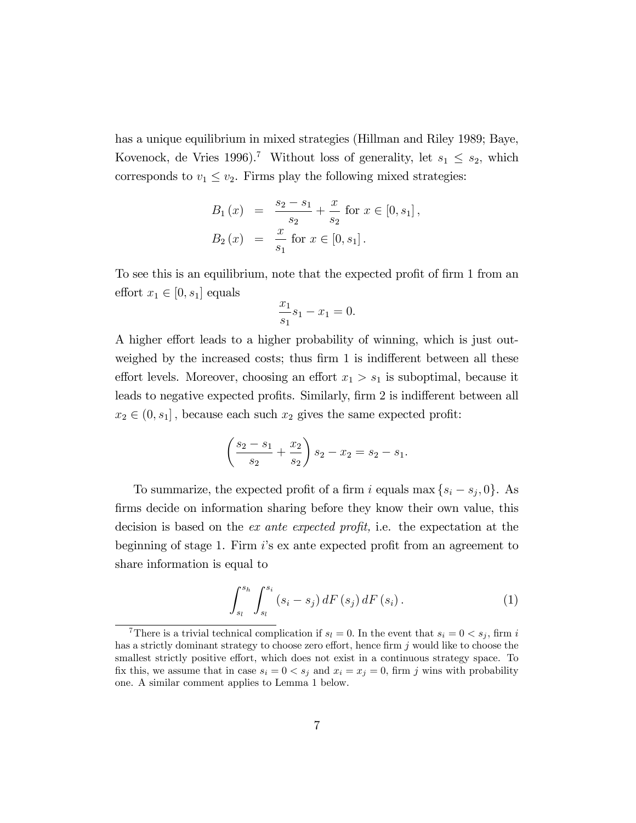has a unique equilibrium in mixed strategies (Hillman and Riley 1989; Baye, Kovenock, de Vries 1996).<sup>7</sup> Without loss of generality, let  $s_1 \leq s_2$ , which corresponds to  $v_1 \le v_2$ . Firms play the following mixed strategies:

$$
B_1(x) = \frac{s_2 - s_1}{s_2} + \frac{x}{s_2} \text{ for } x \in [0, s_1],
$$
  
\n
$$
B_2(x) = \frac{x}{s_1} \text{ for } x \in [0, s_1].
$$

To see this is an equilibrium, note that the expected profit of firm 1 from an effort  $x_1 \in [0, s_1]$  equals

$$
\frac{x_1}{s_1} s_1 - x_1 = 0.
$$

A higher effort leads to a higher probability of winning, which is just outweighed by the increased costs; thus firm  $1$  is indifferent between all these effort levels. Moreover, choosing an effort  $x_1 > s_1$  is suboptimal, because it leads to negative expected profits. Similarly, firm 2 is indifferent between all  $x_2 \in (0, s_1]$ , because each such  $x_2$  gives the same expected profit:

$$
\left(\frac{s_2 - s_1}{s_2} + \frac{x_2}{s_2}\right)s_2 - x_2 = s_2 - s_1.
$$

To summarize, the expected profit of a firm i equals max  $\{s_i - s_j, 0\}$ . As firms decide on information sharing before they know their own value, this decision is based on the *ex ante expected profit*, i.e. the expectation at the beginning of stage 1. Firm  $i$ 's ex ante expected profit from an agreement to share information is equal to

$$
\int_{s_l}^{s_h} \int_{s_l}^{s_i} (s_i - s_j) \, dF(s_j) \, dF(s_i) \, . \tag{1}
$$

<sup>&</sup>lt;sup>7</sup>There is a trivial technical complication if  $s_l = 0$ . In the event that  $s_i = 0 < s_j$ , firm i has a strictly dominant strategy to choose zero effort, hence firm  $j$  would like to choose the smallest strictly positive effort, which does not exist in a continuous strategy space. To fix this, we assume that in case  $s_i = 0 < s_j$  and  $x_i = x_j = 0$ , firm j wins with probability one. A similar comment applies to Lemma 1 below.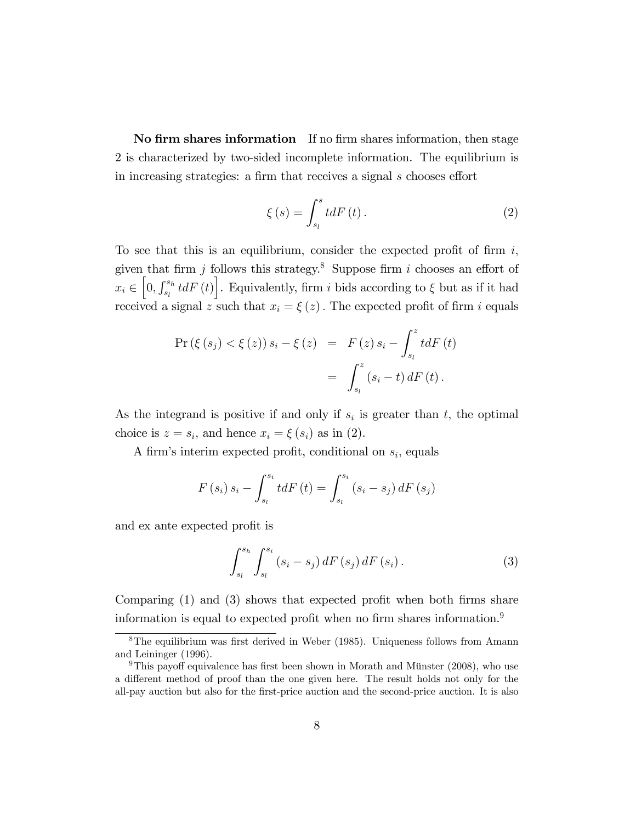No firm shares information If no firm shares information, then stage 2 is characterized by two-sided incomplete information. The equilibrium is in increasing strategies: a firm that receives a signal  $s$  chooses effort

$$
\xi\left(s\right) = \int_{s_l}^{s} t dF\left(t\right). \tag{2}
$$

To see that this is an equilibrium, consider the expected profit of firm  $i$ , given that firm j follows this strategy.<sup>8</sup> Suppose firm i chooses an effort of  $x_i \in \left[0, \int_{s_l}^{s_h} t dF(t)\right]$ . Equivalently, firm i bids according to  $\xi$  but as if it had received a signal z such that  $x_i = \xi(z)$ . The expected profit of firm i equals

$$
\Pr\left(\xi\left(s_{j}\right) < \xi\left(z\right)\right) s_{i} - \xi\left(z\right) = F\left(z\right) s_{i} - \int_{s_{l}}^{z} t dF\left(t\right) = \int_{s_{l}}^{z} \left(s_{i} - t\right) dF\left(t\right).
$$

As the integrand is positive if and only if  $s_i$  is greater than t, the optimal choice is  $z = s_i$ , and hence  $x_i = \xi(s_i)$  as in (2).

A firm's interim expected profit, conditional on  $s_i$ , equals

$$
F(s_i) s_i - \int_{s_i}^{s_i} t dF(t) = \int_{s_i}^{s_i} (s_i - s_j) dF(s_j)
$$

and ex ante expected profit is

$$
\int_{s_l}^{s_h} \int_{s_l}^{s_i} (s_i - s_j) \, dF(s_j) \, dF(s_i) \, . \tag{3}
$$

Comparing  $(1)$  and  $(3)$  shows that expected profit when both firms share information is equal to expected profit when no firm shares information.<sup>9</sup>

 $8$ The equilibrium was first derived in Weber (1985). Uniqueness follows from Amann and Leininger (1996).

<sup>&</sup>lt;sup>9</sup>This payoff equivalence has first been shown in Morath and Münster (2008), who use a different method of proof than the one given here. The result holds not only for the all-pay auction but also for the Örst-price auction and the second-price auction. It is also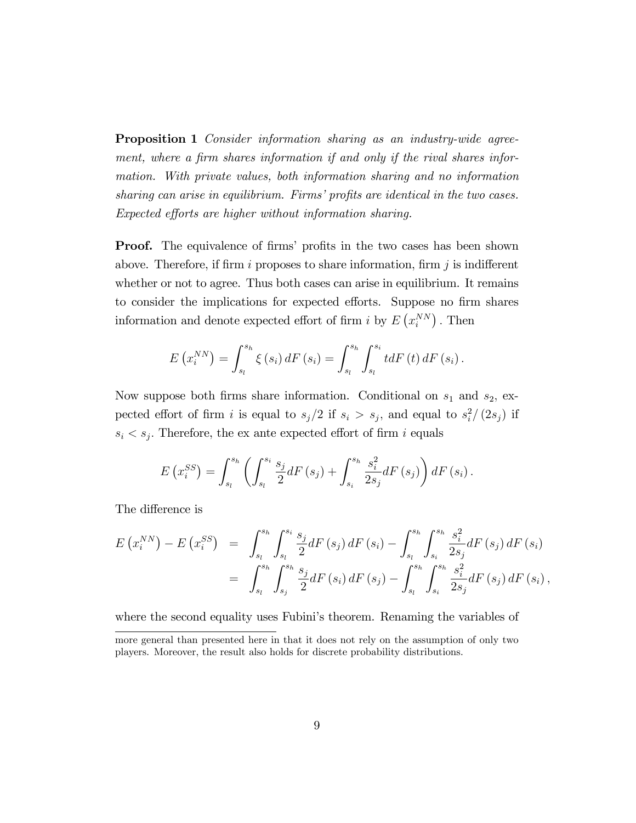**Proposition 1** Consider information sharing as an industry-wide agreement, where a firm shares information if and only if the rival shares information. With private values, both information sharing and no information sharing can arise in equilibrium. Firms' profits are identical in the two cases. Expected efforts are higher without information sharing.

**Proof.** The equivalence of firms' profits in the two cases has been shown above. Therefore, if firm i proposes to share information, firm j is indifferent whether or not to agree. Thus both cases can arise in equilibrium. It remains to consider the implications for expected efforts. Suppose no firm shares information and denote expected effort of firm i by  $E(x_i^{NN})$ . Then

$$
E\left(x_i^{NN}\right) = \int_{s_l}^{s_h} \xi\left(s_i\right) dF\left(s_i\right) = \int_{s_l}^{s_h} \int_{s_l}^{s_i} t dF\left(t\right) dF\left(s_i\right).
$$

Now suppose both firms share information. Conditional on  $s_1$  and  $s_2$ , expected effort of firm i is equal to  $s_j/2$  if  $s_i > s_j$ , and equal to  $s_i^2/(2s_j)$  if  $s_i < s_j$ . Therefore, the ex ante expected effort of firm i equals

$$
E\left(x_i^{SS}\right) = \int_{s_l}^{s_h} \left( \int_{s_l}^{s_i} \frac{s_j}{2} dF\left(s_j\right) + \int_{s_i}^{s_h} \frac{s_i^2}{2s_j} dF\left(s_j\right) \right) dF\left(s_i\right).
$$

The difference is

$$
E\left(x_i^{NN}\right) - E\left(x_i^{SS}\right) = \int_{s_l}^{s_h} \int_{s_l}^{s_i} \frac{s_j}{2} dF\left(s_j\right) dF\left(s_i\right) - \int_{s_l}^{s_h} \int_{s_i}^{s_h} \frac{s_i^2}{2s_j} dF\left(s_j\right) dF\left(s_i\right) = \int_{s_l}^{s_h} \int_{s_j}^{s_h} \frac{s_j}{2} dF\left(s_i\right) dF\left(s_j\right) - \int_{s_l}^{s_h} \int_{s_i}^{s_h} \frac{s_i^2}{2s_j} dF\left(s_j\right) dF\left(s_i\right),
$$

where the second equality uses Fubini's theorem. Renaming the variables of

more general than presented here in that it does not rely on the assumption of only two players. Moreover, the result also holds for discrete probability distributions.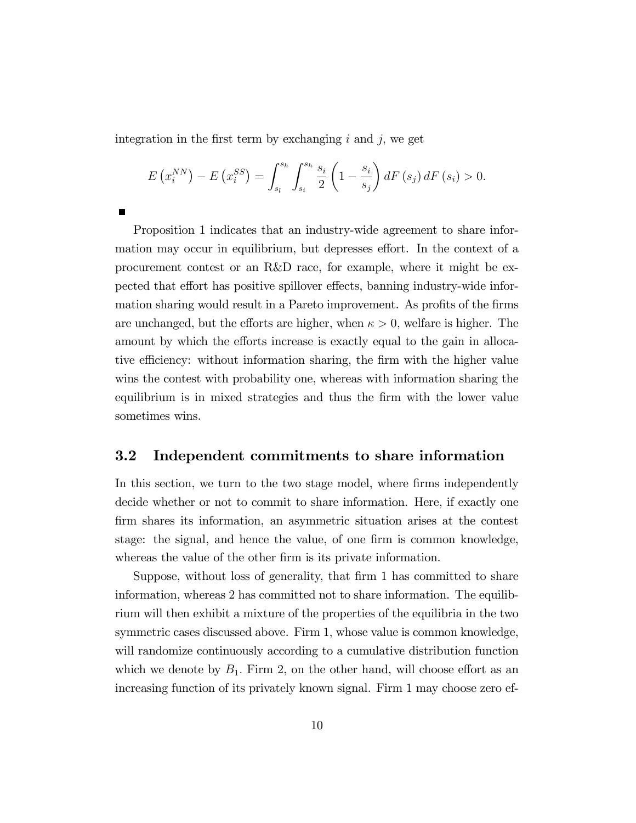integration in the first term by exchanging  $i$  and  $j$ , we get

$$
E\left(x_i^{NN}\right) - E\left(x_i^{SS}\right) = \int_{s_l}^{s_h} \int_{s_i}^{s_h} \frac{s_i}{2} \left(1 - \frac{s_i}{s_j}\right) dF\left(s_j\right) dF\left(s_i\right) > 0.
$$

Proposition 1 indicates that an industry-wide agreement to share information may occur in equilibrium, but depresses effort. In the context of a procurement contest or an R&D race, for example, where it might be expected that effort has positive spillover effects, banning industry-wide information sharing would result in a Pareto improvement. As profits of the firms are unchanged, but the efforts are higher, when  $\kappa > 0$ , welfare is higher. The amount by which the efforts increase is exactly equal to the gain in allocative efficiency: without information sharing, the firm with the higher value wins the contest with probability one, whereas with information sharing the equilibrium is in mixed strategies and thus the Örm with the lower value sometimes wins.

#### 3.2 Independent commitments to share information

In this section, we turn to the two stage model, where firms independently decide whether or not to commit to share information. Here, if exactly one Örm shares its information, an asymmetric situation arises at the contest stage: the signal, and hence the value, of one firm is common knowledge, whereas the value of the other firm is its private information.

Suppose, without loss of generality, that firm 1 has committed to share information, whereas 2 has committed not to share information. The equilibrium will then exhibit a mixture of the properties of the equilibria in the two symmetric cases discussed above. Firm 1; whose value is common knowledge, will randomize continuously according to a cumulative distribution function which we denote by  $B_1$ . Firm 2, on the other hand, will choose effort as an increasing function of its privately known signal. Firm 1 may choose zero ef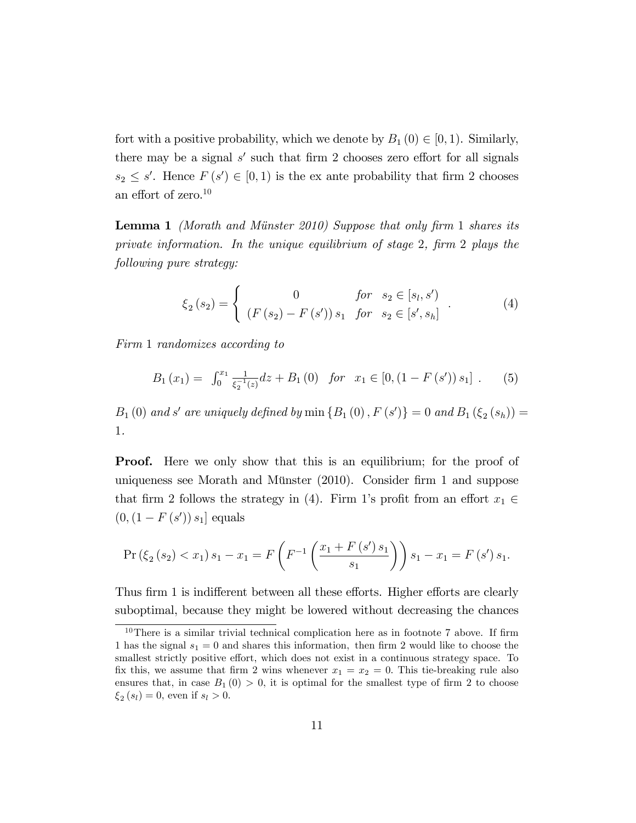fort with a positive probability, which we denote by  $B_1(0) \in (0, 1)$ . Similarly, there may be a signal  $s'$  such that firm 2 chooses zero effort for all signals  $s_2 \leq s'$ . Hence  $F(s') \in [0, 1)$  is the ex ante probability that firm 2 chooses an effort of zero. $10$ 

**Lemma 1** (Morath and Münster 2010) Suppose that only firm 1 shares its private information. In the unique equilibrium of stage 2, firm 2 plays the following pure strategy:

$$
\xi_2(s_2) = \begin{cases}\n0 & \text{for } s_2 \in [s_l, s'] \\
(F(s_2) - F(s')) s_1 & \text{for } s_2 \in [s', s_h]\n\end{cases} (4)
$$

Firm 1 randomizes according to

$$
B_1(x_1) = \int_0^{x_1} \frac{1}{\xi_2^{-1}(z)} dz + B_1(0) \quad \text{for} \quad x_1 \in [0, (1 - F(s')) s_1] \tag{5}
$$

 $B_1(0)$  and s' are uniquely defined by min  $\{B_1(0), F(s')\} = 0$  and  $B_1(\xi_2(s_h)) = 0$ 1.

**Proof.** Here we only show that this is an equilibrium; for the proof of uniqueness see Morath and Münster  $(2010)$ . Consider firm 1 and suppose that firm 2 follows the strategy in (4). Firm 1's profit from an effort  $x_1 \in$  $(0, (1 - F(s')) s_1]$  equals

$$
\Pr\left(\xi_2\left(s_2\right)
$$

Thus firm 1 is indifferent between all these efforts. Higher efforts are clearly suboptimal, because they might be lowered without decreasing the chances

 $10$ There is a similar trivial technical complication here as in footnote 7 above. If firm 1 has the signal  $s_1 = 0$  and shares this information, then firm 2 would like to choose the smallest strictly positive effort, which does not exist in a continuous strategy space. To fix this, we assume that firm 2 wins whenever  $x_1 = x_2 = 0$ . This tie-breaking rule also ensures that, in case  $B_1(0) > 0$ , it is optimal for the smallest type of firm 2 to choose  $\xi_2(s_l) = 0$ , even if  $s_l > 0$ .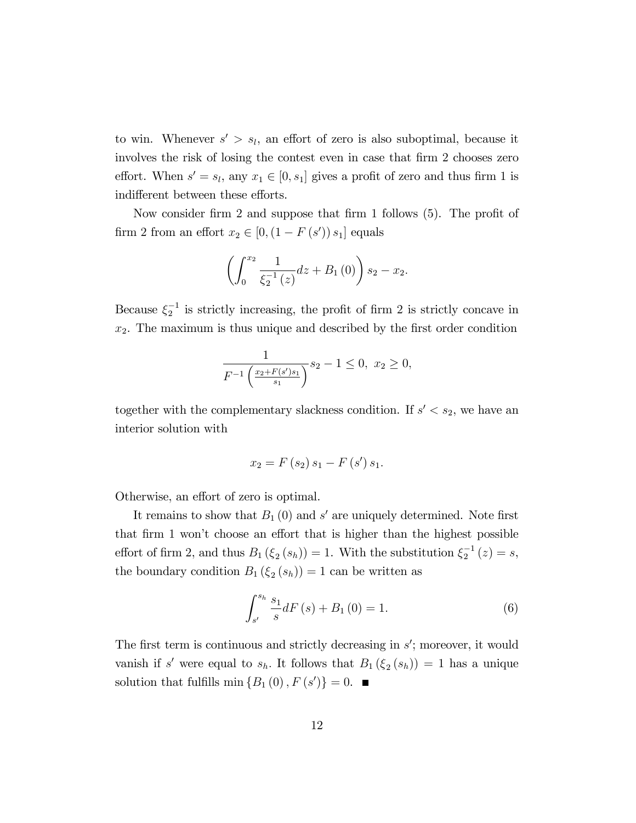to win. Whenever  $s' > s_l$ , an effort of zero is also suboptimal, because it involves the risk of losing the contest even in case that firm 2 chooses zero effort. When  $s' = s_l$ , any  $x_1 \in [0, s_1]$  gives a profit of zero and thus firm 1 is indifferent between these efforts.

Now consider firm 2 and suppose that firm 1 follows  $(5)$ . The profit of firm 2 from an effort  $x_2 \in [0, (1 - F(s')) s_1]$  equals

$$
\left(\int_0^{x_2} \frac{1}{\xi_2^{-1}(z)} dz + B_1(0)\right) s_2 - x_2.
$$

Because  $\xi_2^{-1}$  is strictly increasing, the profit of firm 2 is strictly concave in  $x_2$ . The maximum is thus unique and described by the first order condition

$$
\frac{1}{F^{-1}\left(\frac{x_2 + F(s')s_1}{s_1}\right)} s_2 - 1 \le 0, \ x_2 \ge 0,
$$

together with the complementary slackness condition. If  $s' < s_2$ , we have an interior solution with

$$
x_2 = F(s_2) s_1 - F(s') s_1.
$$

Otherwise, an effort of zero is optimal.

It remains to show that  $B_1(0)$  and s' are uniquely determined. Note first that firm 1 won't choose an effort that is higher than the highest possible effort of firm 2, and thus  $B_1(\xi_2(s_h)) = 1$ . With the substitution  $\xi_2^{-1}(z) = s$ , the boundary condition  $B_1(\xi_2(s_h)) = 1$  can be written as

$$
\int_{s'}^{s_h} \frac{s_1}{s} dF(s) + B_1(0) = 1.
$$
 (6)

The first term is continuous and strictly decreasing in  $s'$ ; moreover, it would vanish if s' were equal to  $s_h$ . It follows that  $B_1(\xi_2(s_h)) = 1$  has a unique solution that fulfills  $\min\{B_1(0), F(s')\} = 0.$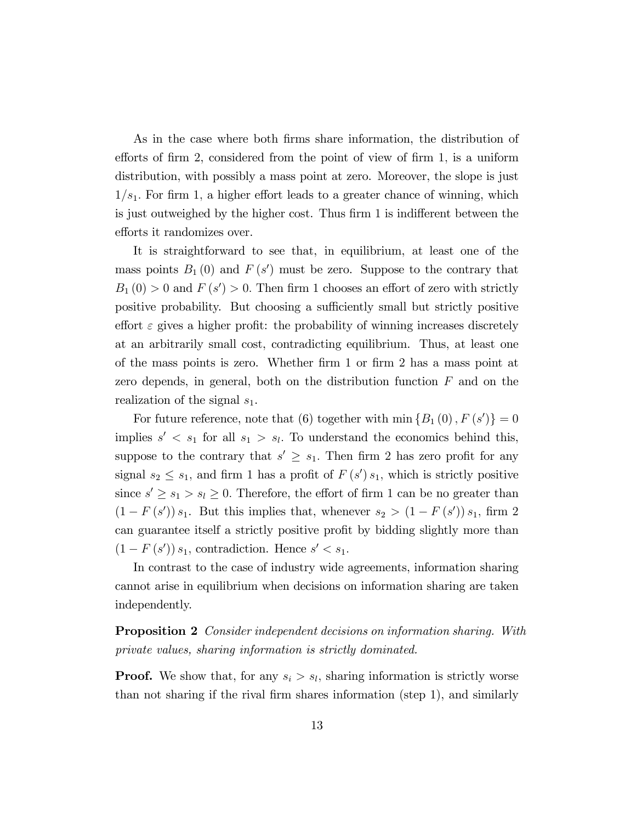As in the case where both firms share information, the distribution of efforts of firm 2, considered from the point of view of firm 1, is a uniform distribution, with possibly a mass point at zero. Moreover, the slope is just  $1/s<sub>1</sub>$ . For firm 1, a higher effort leads to a greater chance of winning, which is just outweighed by the higher cost. Thus firm 1 is indifferent between the efforts it randomizes over.

It is straightforward to see that, in equilibrium, at least one of the mass points  $B_1(0)$  and  $F(s')$  must be zero. Suppose to the contrary that  $B_1(0) > 0$  and  $F(s') > 0$ . Then firm 1 chooses an effort of zero with strictly positive probability. But choosing a sufficiently small but strictly positive effort  $\varepsilon$  gives a higher profit: the probability of winning increases discretely at an arbitrarily small cost, contradicting equilibrium. Thus, at least one of the mass points is zero. Whether firm 1 or firm 2 has a mass point at zero depends, in general, both on the distribution function  $F$  and on the realization of the signal  $s_1$ .

For future reference, note that (6) together with  $\min \{B_1(0), F(s')\} = 0$ implies  $s' < s_1$  for all  $s_1 > s_l$ . To understand the economics behind this, suppose to the contrary that  $s' \geq s_1$ . Then firm 2 has zero profit for any signal  $s_2 \leq s_1$ , and firm 1 has a profit of  $F(s')s_1$ , which is strictly positive since  $s' \geq s_1 > s_l \geq 0$ . Therefore, the effort of firm 1 can be no greater than  $(1 - F(s<sup>'</sup>)) s<sub>1</sub>$ . But this implies that, whenever  $s<sub>2</sub> > (1 - F(s<sup>'</sup>)) s<sub>1</sub>$ , firm 2 can guarantee itself a strictly positive profit by bidding slightly more than  $(1 - F(s')) s_1$ , contradiction. Hence  $s' < s_1$ .

In contrast to the case of industry wide agreements, information sharing cannot arise in equilibrium when decisions on information sharing are taken independently.

Proposition 2 Consider independent decisions on information sharing. With private values, sharing information is strictly dominated.

**Proof.** We show that, for any  $s_i > s_i$ , sharing information is strictly worse than not sharing if the rival Örm shares information (step 1), and similarly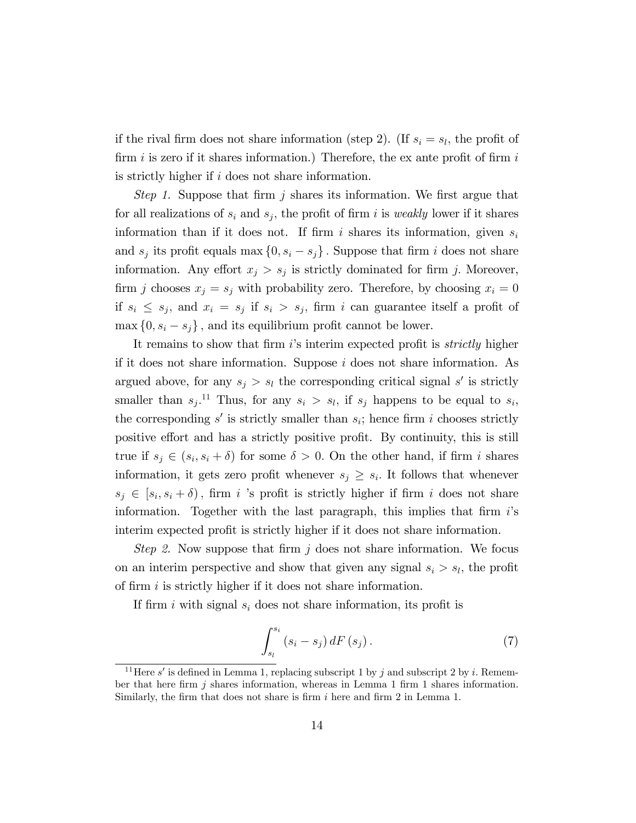if the rival firm does not share information (step 2). (If  $s_i = s_l$ , the profit of firm i is zero if it shares information.) Therefore, the ex ante profit of firm i is strictly higher if i does not share information.

Step 1. Suppose that firm j shares its information. We first argue that for all realizations of  $s_i$  and  $s_j$ , the profit of firm i is *weakly* lower if it shares information than if it does not. If firm i shares its information, given  $s_i$ and  $s_j$  its profit equals max  $\{0, s_i - s_j\}$ . Suppose that firm i does not share information. Any effort  $x_j > s_j$  is strictly dominated for firm j. Moreover, firm j chooses  $x_j = s_j$  with probability zero. Therefore, by choosing  $x_i = 0$ if  $s_i \leq s_j$ , and  $x_i = s_j$  if  $s_i > s_j$ , firm i can guarantee itself a profit of  $\max\{0, s_i - s_j\}$ , and its equilibrium profit cannot be lower.

It remains to show that firm  $i$ 's interim expected profit is *strictly* higher if it does not share information. Suppose i does not share information. As argued above, for any  $s_j > s_l$  the corresponding critical signal s' is strictly smaller than  $s_j$ .<sup>11</sup> Thus, for any  $s_i > s_l$ , if  $s_j$  happens to be equal to  $s_i$ , the corresponding  $s'$  is strictly smaller than  $s_i$ ; hence firm i chooses strictly positive effort and has a strictly positive profit. By continuity, this is still true if  $s_j \in (s_i, s_i + \delta)$  for some  $\delta > 0$ . On the other hand, if firm i shares information, it gets zero profit whenever  $s_j \geq s_i$ . It follows that whenever  $s_j \in [s_i, s_i + \delta)$ , firm i 's profit is strictly higher if firm i does not share information. Together with the last paragraph, this implies that firm  $i$ 's interim expected profit is strictly higher if it does not share information.

Step 2. Now suppose that firm  $j$  does not share information. We focus on an interim perspective and show that given any signal  $s_i > s_l$ , the profit of firm  $i$  is strictly higher if it does not share information.

If firm i with signal  $s_i$  does not share information, its profit is

$$
\int_{s_l}^{s_i} (s_i - s_j) dF(s_j).
$$
 (7)

<sup>&</sup>lt;sup>11</sup>Here s' is defined in Lemma 1, replacing subscript 1 by j and subscript 2 by i. Remember that here firm  $j$  shares information, whereas in Lemma 1 firm 1 shares information. Similarly, the firm that does not share is firm  $i$  here and firm 2 in Lemma 1.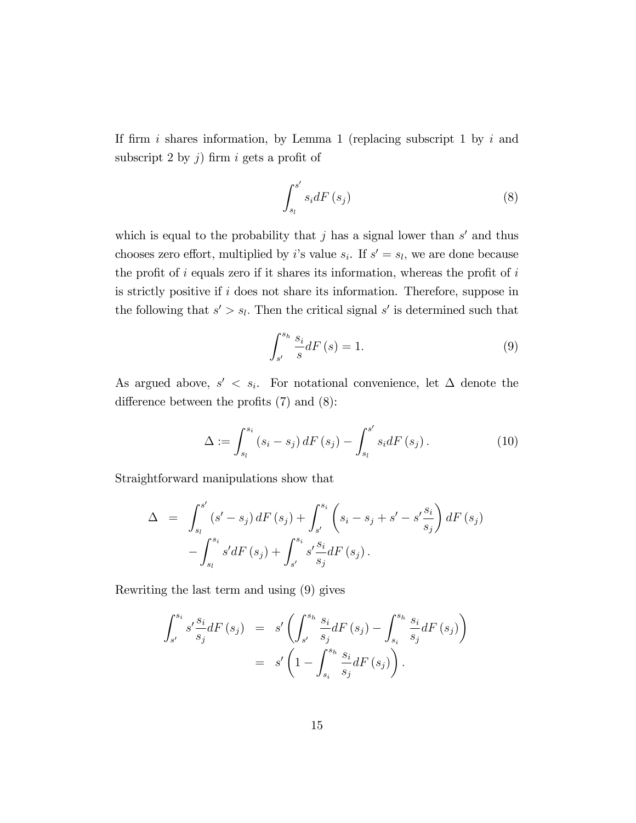If firm i shares information, by Lemma 1 (replacing subscript 1 by i and subscript 2 by j) firm i gets a profit of

$$
\int_{s_l}^{s'} s_i dF\left(s_j\right) \tag{8}
$$

which is equal to the probability that  $j$  has a signal lower than  $s'$  and thus chooses zero effort, multiplied by *i*'s value  $s_i$ . If  $s' = s_l$ , we are done because the profit of  $i$  equals zero if it shares its information, whereas the profit of  $i$ is strictly positive if i does not share its information. Therefore, suppose in the following that  $s' > s_l$ . Then the critical signal s' is determined such that

$$
\int_{s'}^{s_h} \frac{s_i}{s} dF\left(s\right) = 1. \tag{9}
$$

As argued above,  $s' < s_i$ . For notational convenience, let  $\Delta$  denote the difference between the profits  $(7)$  and  $(8)$ :

$$
\Delta := \int_{s_l}^{s_i} (s_i - s_j) dF(s_j) - \int_{s_l}^{s'} s_i dF(s_j).
$$
 (10)

Straightforward manipulations show that

$$
\Delta = \int_{s_l}^{s'} (s' - s_j) dF(s_j) + \int_{s'}^{s_i} (s_i - s_j + s' - s' \frac{s_i}{s_j}) dF(s_j) - \int_{s_l}^{s_i} s' dF(s_j) + \int_{s'}^{s_i} s' \frac{s_i}{s_j} dF(s_j).
$$

Rewriting the last term and using (9) gives

$$
\int_{s'}^{s_i} s' \frac{s_i}{s_j} dF(s_j) = s' \left( \int_{s'}^{s_h} \frac{s_i}{s_j} dF(s_j) - \int_{s_i}^{s_h} \frac{s_i}{s_j} dF(s_j) \right) \n= s' \left( 1 - \int_{s_i}^{s_h} \frac{s_i}{s_j} dF(s_j) \right).
$$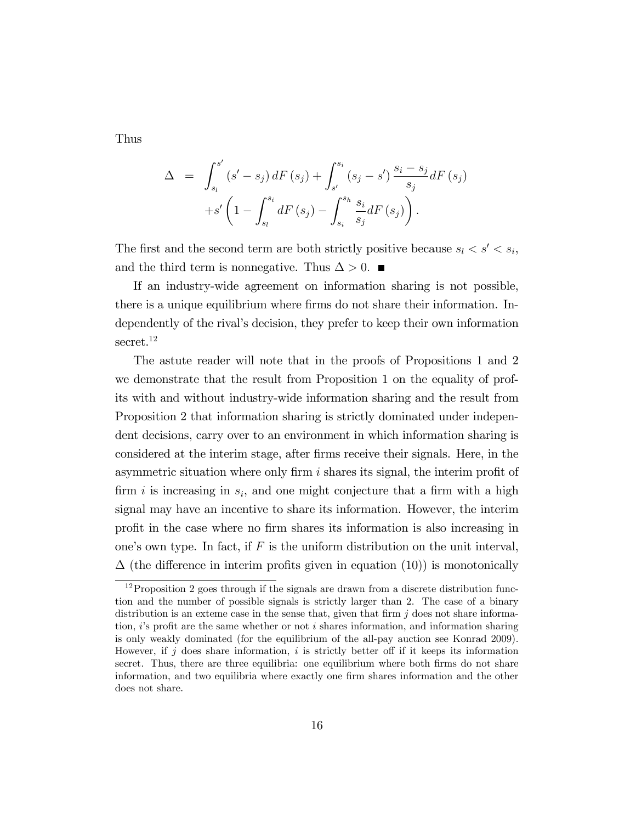Thus

$$
\Delta = \int_{s_i}^{s'} (s' - s_j) dF(s_j) + \int_{s'}^{s_i} (s_j - s') \frac{s_i - s_j}{s_j} dF(s_j) + s' \left(1 - \int_{s_i}^{s_i} dF(s_j) - \int_{s_i}^{s_h} \frac{s_i}{s_j} dF(s_j)\right).
$$

The first and the second term are both strictly positive because  $s_l < s' < s_i$ , and the third term is nonnegative. Thus  $\Delta > 0$ .

If an industry-wide agreement on information sharing is not possible, there is a unique equilibrium where firms do not share their information. Independently of the rival's decision, they prefer to keep their own information secret.<sup>12</sup>

The astute reader will note that in the proofs of Propositions 1 and 2 we demonstrate that the result from Proposition 1 on the equality of profits with and without industry-wide information sharing and the result from Proposition 2 that information sharing is strictly dominated under independent decisions, carry over to an environment in which information sharing is considered at the interim stage, after Örms receive their signals. Here, in the asymmetric situation where only firm  $i$  shares its signal, the interim profit of firm i is increasing in  $s_i$ , and one might conjecture that a firm with a high signal may have an incentive to share its information. However, the interim profit in the case where no firm shares its information is also increasing in one's own type. In fact, if  $F$  is the uniform distribution on the unit interval,  $\Delta$  (the difference in interim profits given in equation (10)) is monotonically

 $12$ Proposition 2 goes through if the signals are drawn from a discrete distribution function and the number of possible signals is strictly larger than 2. The case of a binary distribution is an exteme case in the sense that, given that firm  $j$  does not share information,  $i$ 's profit are the same whether or not i shares information, and information sharing is only weakly dominated (for the equilibrium of the all-pay auction see Konrad 2009). However, if j does share information, i is strictly better off if it keeps its information secret. Thus, there are three equilibria: one equilibrium where both firms do not share information, and two equilibria where exactly one firm shares information and the other does not share.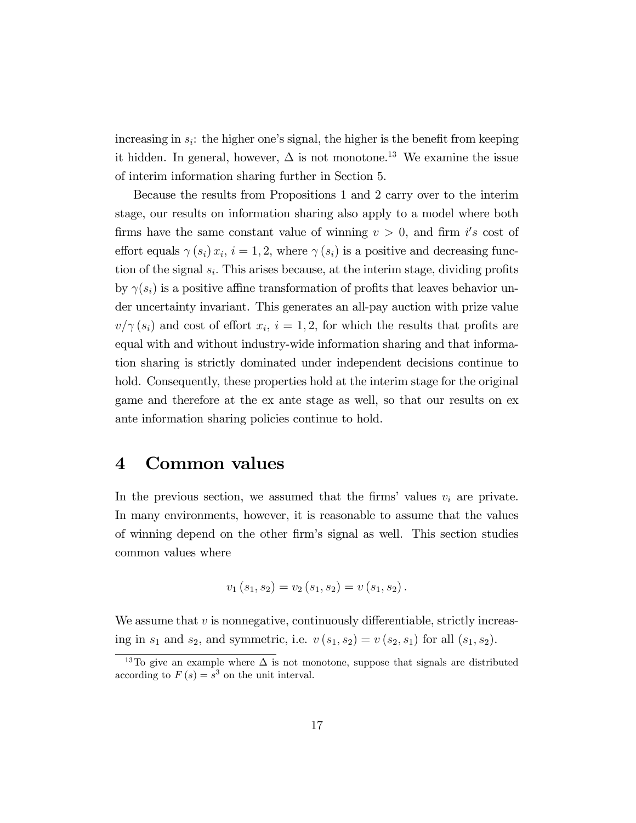increasing in  $s_i$ : the higher one's signal, the higher is the benefit from keeping it hidden. In general, however,  $\Delta$  is not monotone.<sup>13</sup> We examine the issue of interim information sharing further in Section 5.

Because the results from Propositions 1 and 2 carry over to the interim stage, our results on information sharing also apply to a model where both firms have the same constant value of winning  $v > 0$ , and firm i's cost of effort equals  $\gamma(s_i) x_i$ ,  $i = 1, 2$ , where  $\gamma(s_i)$  is a positive and decreasing function of the signal  $s_i$ . This arises because, at the interim stage, dividing profits by  $\gamma(s_i)$  is a positive affine transformation of profits that leaves behavior under uncertainty invariant. This generates an all-pay auction with prize value  $v/\gamma(s_i)$  and cost of effort  $x_i$ ,  $i = 1, 2$ , for which the results that profits are equal with and without industry-wide information sharing and that information sharing is strictly dominated under independent decisions continue to hold. Consequently, these properties hold at the interim stage for the original game and therefore at the ex ante stage as well, so that our results on ex ante information sharing policies continue to hold.

### 4 Common values

In the previous section, we assumed that the firms' values  $v_i$  are private. In many environments, however, it is reasonable to assume that the values of winning depend on the other Örmís signal as well. This section studies common values where

$$
v_1(s_1, s_2) = v_2(s_1, s_2) = v(s_1, s_2).
$$

We assume that  $v$  is nonnegative, continuously differentiable, strictly increasing in  $s_1$  and  $s_2$ , and symmetric, i.e.  $v(s_1, s_2) = v(s_2, s_1)$  for all  $(s_1, s_2)$ .

<sup>&</sup>lt;sup>13</sup>To give an example where  $\Delta$  is not monotone, suppose that signals are distributed according to  $F(s) = s^3$  on the unit interval.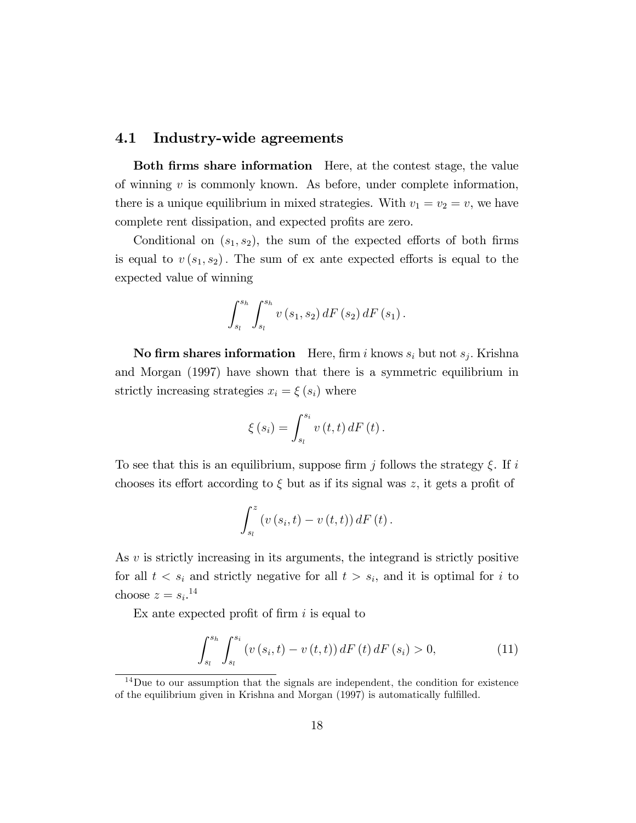#### 4.1 Industry-wide agreements

Both firms share information Here, at the contest stage, the value of winning  $v$  is commonly known. As before, under complete information, there is a unique equilibrium in mixed strategies. With  $v_1 = v_2 = v$ , we have complete rent dissipation, and expected profits are zero.

Conditional on  $(s_1, s_2)$ , the sum of the expected efforts of both firms is equal to  $v(s_1, s_2)$ . The sum of ex ante expected efforts is equal to the expected value of winning

$$
\int_{s_l}^{s_h} \int_{s_l}^{s_h} v(s_1, s_2) dF(s_2) dF(s_1).
$$

**No firm shares information** Here, firm i knows  $s_i$  but not  $s_j$ . Krishna and Morgan (1997) have shown that there is a symmetric equilibrium in strictly increasing strategies  $x_i = \xi(s_i)$  where

$$
\xi(s_i) = \int_{s_i}^{s_i} v(t, t) dF(t).
$$

To see that this is an equilibrium, suppose firm j follows the strategy  $\xi$ . If i chooses its effort according to  $\xi$  but as if its signal was z, it gets a profit of

$$
\int_{s_l}^{z} \left(v\left(s_i,t\right)-v\left(t,t\right)\right)dF\left(t\right).
$$

As  $v$  is strictly increasing in its arguments, the integrand is strictly positive for all  $t < s_i$  and strictly negative for all  $t > s_i$ , and it is optimal for i to choose  $z = s_i$ <sup>14</sup>

Ex ante expected profit of firm  $i$  is equal to

$$
\int_{s_l}^{s_h} \int_{s_l}^{s_i} \left( v\left(s_i, t\right) - v\left(t, t\right) \right) dF\left(t\right) dF\left(s_i\right) > 0,\tag{11}
$$

<sup>&</sup>lt;sup>14</sup>Due to our assumption that the signals are independent, the condition for existence of the equilibrium given in Krishna and Morgan (1997) is automatically fulfilled.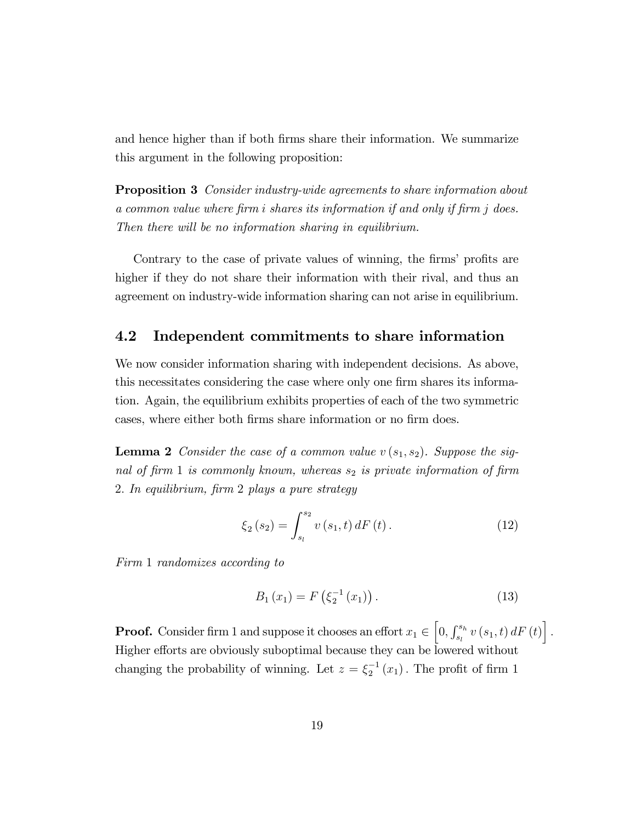and hence higher than if both firms share their information. We summarize this argument in the following proposition:

**Proposition 3** Consider industry-wide agreements to share information about a common value where firm i shares its information if and only if firm j does. Then there will be no information sharing in equilibrium.

Contrary to the case of private values of winning, the firms' profits are higher if they do not share their information with their rival, and thus an agreement on industry-wide information sharing can not arise in equilibrium.

#### 4.2 Independent commitments to share information

We now consider information sharing with independent decisions. As above, this necessitates considering the case where only one firm shares its information. Again, the equilibrium exhibits properties of each of the two symmetric cases, where either both firms share information or no firm does.

**Lemma 2** Consider the case of a common value  $v(s_1, s_2)$ . Suppose the signal of firm 1 is commonly known, whereas  $s_2$  is private information of firm 2: In equilibrium, Örm 2 plays a pure strategy

$$
\xi_2(s_2) = \int_{s_l}^{s_2} v(s_1, t) \, dF(t) \,. \tag{12}
$$

Firm 1 randomizes according to

$$
B_1(x_1) = F\left(\xi_2^{-1}(x_1)\right). \tag{13}
$$

**Proof.** Consider firm 1 and suppose it chooses an effort  $x_1 \in [0, \int_{s_l}^{s_h} v(s_1, t) dF(t)]$ . Higher efforts are obviously suboptimal because they can be lowered without changing the probability of winning. Let  $z = \xi_2^{-1}(x_1)$ . The profit of firm 1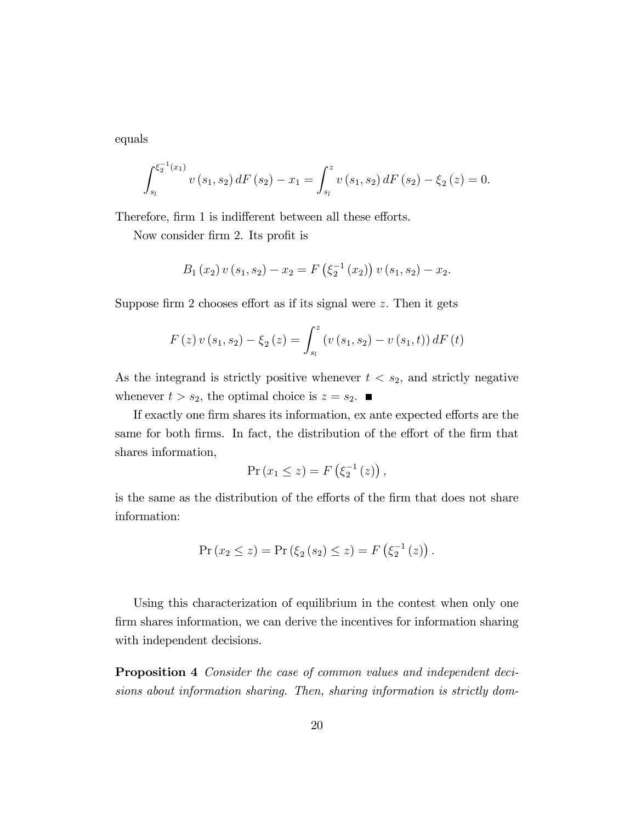equals

$$
\int_{s_l}^{\xi_2^{-1}(x_1)} v(s_1, s_2) dF(s_2) - x_1 = \int_{s_l}^z v(s_1, s_2) dF(s_2) - \xi_2(z) = 0.
$$

Therefore, firm 1 is indifferent between all these efforts.

Now consider firm 2. Its profit is

$$
B_1(x_2) v(s_1, s_2) - x_2 = F\left(\xi_2^{-1}(x_2)\right) v(s_1, s_2) - x_2.
$$

Suppose firm 2 chooses effort as if its signal were  $z$ . Then it gets

$$
F(z) v (s_1, s_2) - \xi_2 (z) = \int_{s_l}^{z} (v (s_1, s_2) - v (s_1, t)) dF(t)
$$

As the integrand is strictly positive whenever  $t < s_2$ , and strictly negative whenever  $t > s_2$ , the optimal choice is  $z = s_2$ .

If exactly one firm shares its information, ex ante expected efforts are the same for both firms. In fact, the distribution of the effort of the firm that shares information,

$$
\Pr(x_1 \leq z) = F\left(\xi_2^{-1}\left(z\right)\right),\,
$$

is the same as the distribution of the efforts of the firm that does not share information:

$$
Pr(x_2 \le z) = Pr(\xi_2(s_2) \le z) = F(\xi_2^{-1}(z)).
$$

Using this characterization of equilibrium in the contest when only one firm shares information, we can derive the incentives for information sharing with independent decisions.

Proposition 4 Consider the case of common values and independent decisions about information sharing. Then, sharing information is strictly dom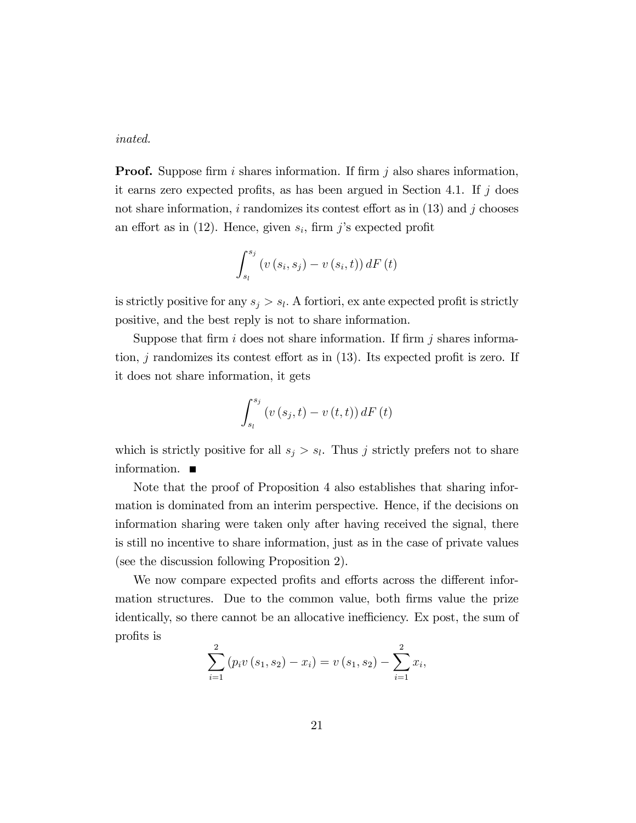inated.

**Proof.** Suppose firm i shares information. If firm j also shares information, it earns zero expected profits, as has been argued in Section 4.1. If  $j$  does not share information, i randomizes its contest effort as in  $(13)$  and j chooses an effort as in  $(12)$ . Hence, given  $s_i$ , firm j's expected profit

$$
\int_{s_l}^{s_j} \left( v\left(s_i, s_j\right) - v\left(s_i, t\right) \right) dF\left(t\right)
$$

is strictly positive for any  $s_j > s_l$ . A fortiori, ex ante expected profit is strictly positive, and the best reply is not to share information.

Suppose that firm i does not share information. If firm j shares information, j randomizes its contest effort as in  $(13)$ . Its expected profit is zero. If it does not share information, it gets

$$
\int_{s_l}^{s_j} \left( v\left(s_j,t\right) - v\left(t,t\right) \right) dF\left(t\right)
$$

which is strictly positive for all  $s_j > s_l$ . Thus j strictly prefers not to share information.

Note that the proof of Proposition 4 also establishes that sharing information is dominated from an interim perspective. Hence, if the decisions on information sharing were taken only after having received the signal, there is still no incentive to share information, just as in the case of private values (see the discussion following Proposition 2).

We now compare expected profits and efforts across the different information structures. Due to the common value, both firms value the prize identically, so there cannot be an allocative inefficiency. Ex post, the sum of profits is

$$
\sum_{i=1}^{2} (p_i v(s_1, s_2) - x_i) = v(s_1, s_2) - \sum_{i=1}^{2} x_i,
$$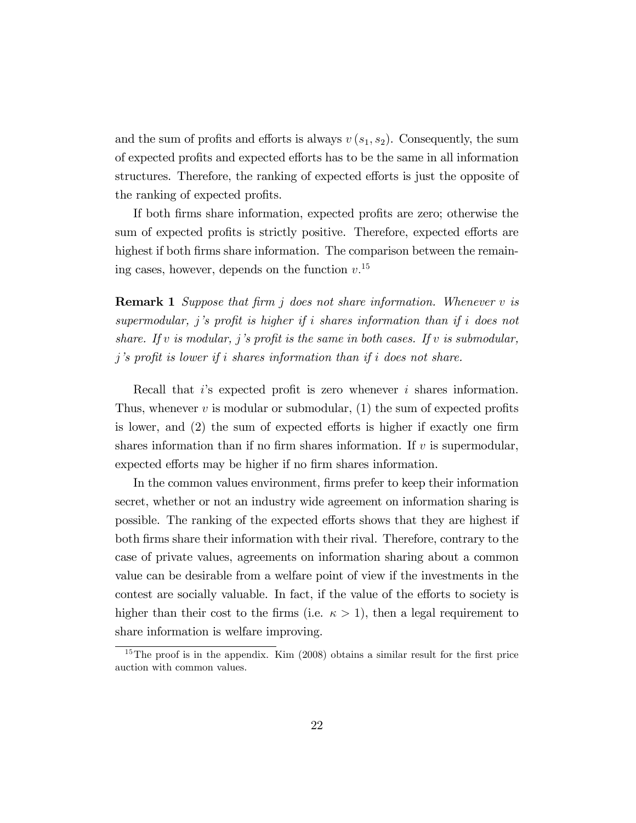and the sum of profits and efforts is always  $v(s_1, s_2)$ . Consequently, the sum of expected profits and expected efforts has to be the same in all information structures. Therefore, the ranking of expected efforts is just the opposite of the ranking of expected profits.

If both firms share information, expected profits are zero; otherwise the sum of expected profits is strictly positive. Therefore, expected efforts are highest if both firms share information. The comparison between the remaining cases, however, depends on the function  $v^{15}$ .

**Remark 1** Suppose that firm  $j$  does not share information. Whenever  $v$  is  $supermodular, j's profit is higher if i shares information than if i does not$ share. If v is modular, j's profit is the same in both cases. If v is submodular, j's profit is lower if i shares information than if i does not share.

Recall that  $i$ 's expected profit is zero whenever  $i$  shares information. Thus, whenever  $v$  is modular or submodular, (1) the sum of expected profits is lower, and  $(2)$  the sum of expected efforts is higher if exactly one firm shares information than if no firm shares information. If  $v$  is supermodular, expected efforts may be higher if no firm shares information.

In the common values environment, firms prefer to keep their information secret, whether or not an industry wide agreement on information sharing is possible. The ranking of the expected efforts shows that they are highest if both Örms share their information with their rival. Therefore, contrary to the case of private values, agreements on information sharing about a common value can be desirable from a welfare point of view if the investments in the contest are socially valuable. In fact, if the value of the efforts to society is higher than their cost to the firms (i.e.  $\kappa > 1$ ), then a legal requirement to share information is welfare improving.

<sup>&</sup>lt;sup>15</sup>The proof is in the appendix. Kim  $(2008)$  obtains a similar result for the first price auction with common values.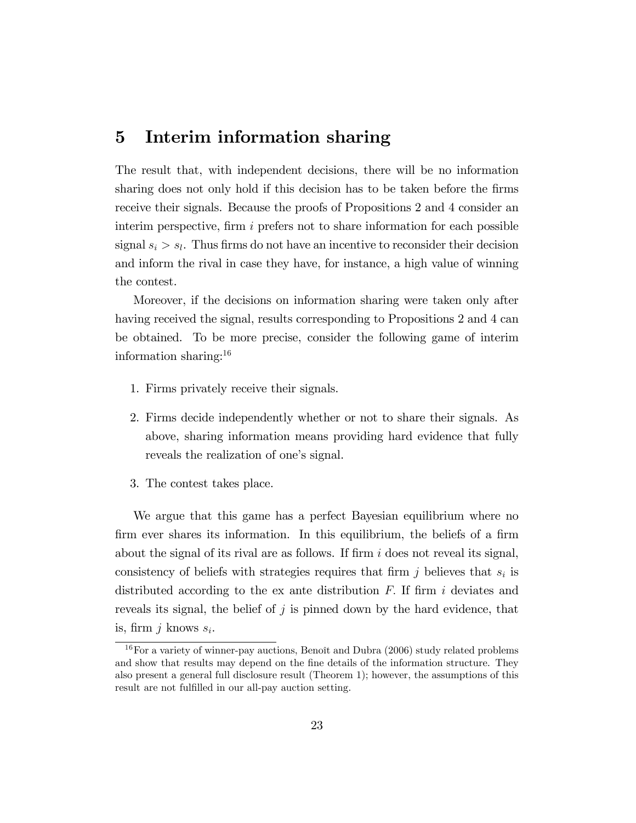### 5 Interim information sharing

The result that, with independent decisions, there will be no information sharing does not only hold if this decision has to be taken before the firms receive their signals. Because the proofs of Propositions 2 and 4 consider an interim perspective, firm  $i$  prefers not to share information for each possible signal  $s_i > s_l$ . Thus firms do not have an incentive to reconsider their decision and inform the rival in case they have, for instance, a high value of winning the contest.

Moreover, if the decisions on information sharing were taken only after having received the signal, results corresponding to Propositions 2 and 4 can be obtained. To be more precise, consider the following game of interim information sharing:<sup>16</sup>

- 1. Firms privately receive their signals.
- 2. Firms decide independently whether or not to share their signals. As above, sharing information means providing hard evidence that fully reveals the realization of one's signal.
- 3. The contest takes place.

We argue that this game has a perfect Bayesian equilibrium where no firm ever shares its information. In this equilibrium, the beliefs of a firm about the signal of its rival are as follows. If firm  $i$  does not reveal its signal, consistency of beliefs with strategies requires that firm  $j$  believes that  $s_i$  is distributed according to the ex ante distribution  $F$ . If firm i deviates and reveals its signal, the belief of j is pinned down by the hard evidence, that is, firm  $j$  knows  $s_i$ .

 $16$  For a variety of winner-pay auctions, Benoît and Dubra (2006) study related problems and show that results may depend on the fine details of the information structure. They also present a general full disclosure result (Theorem 1); however, the assumptions of this result are not fulfilled in our all-pay auction setting.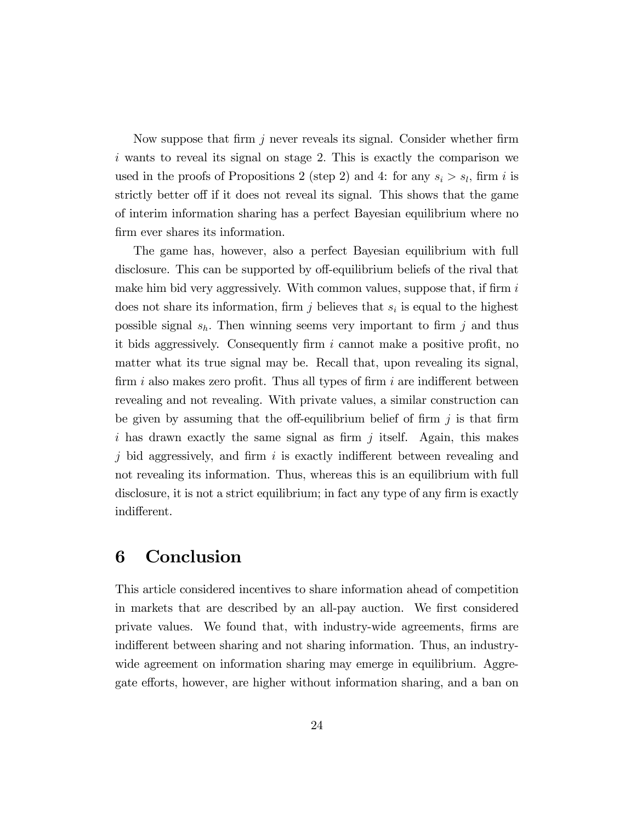Now suppose that firm j never reveals its signal. Consider whether firm  $i$  wants to reveal its signal on stage 2. This is exactly the comparison we used in the proofs of Propositions 2 (step 2) and 4: for any  $s_i > s_l$ , firm i is strictly better off if it does not reveal its signal. This shows that the game of interim information sharing has a perfect Bayesian equilibrium where no firm ever shares its information.

The game has, however, also a perfect Bayesian equilibrium with full disclosure. This can be supported by off-equilibrium beliefs of the rival that make him bid very aggressively. With common values, suppose that, if firm  $i$ does not share its information, firm j believes that  $s_i$  is equal to the highest possible signal  $s_h$ . Then winning seems very important to firm j and thus it bids aggressively. Consequently firm  $i$  cannot make a positive profit, no matter what its true signal may be. Recall that, upon revealing its signal, firm i also makes zero profit. Thus all types of firm i are indifferent between revealing and not revealing. With private values, a similar construction can be given by assuming that the off-equilibrium belief of firm  $j$  is that firm i has drawn exactly the same signal as firm j itself. Again, this makes j bid aggressively, and firm i is exactly indifferent between revealing and not revealing its information. Thus, whereas this is an equilibrium with full disclosure, it is not a strict equilibrium; in fact any type of any firm is exactly indifferent.

### 6 Conclusion

This article considered incentives to share information ahead of competition in markets that are described by an all-pay auction. We first considered private values. We found that, with industry-wide agreements, Örms are indifferent between sharing and not sharing information. Thus, an industrywide agreement on information sharing may emerge in equilibrium. Aggregate efforts, however, are higher without information sharing, and a ban on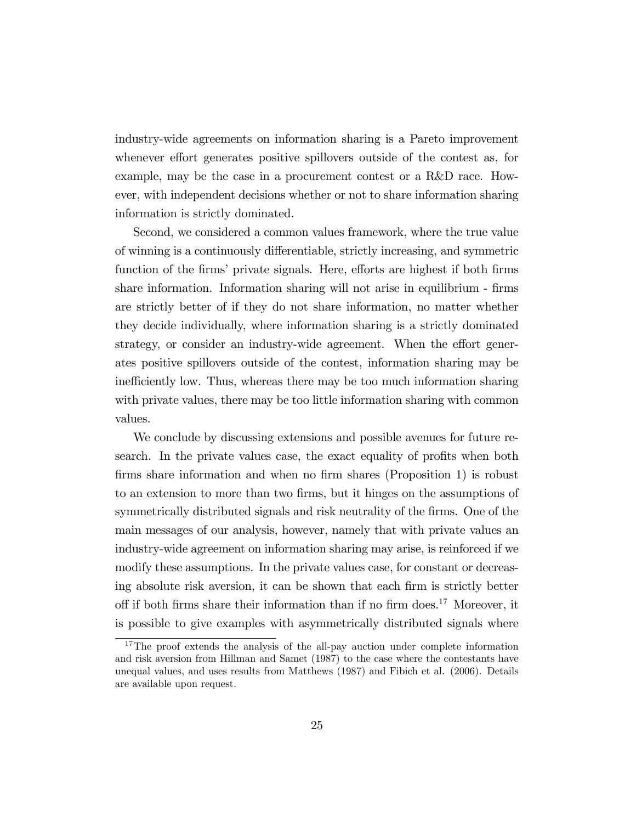industry-wide agreements on information sharing is a Pareto improvement whenever effort generates positive spillovers outside of the contest as, for example, may be the case in a procurement contest or a R&D race. However, with independent decisions whether or not to share information sharing information is strictly dominated.

Second, we considered a common values framework, where the true value of winning is a continuously differentiable, strictly increasing, and symmetric function of the firms' private signals. Here, efforts are highest if both firms share information. Information sharing will not arise in equilibrium - firms are strictly better of if they do not share information, no matter whether they decide individually, where information sharing is a strictly dominated strategy, or consider an industry-wide agreement. When the effort generates positive spillovers outside of the contest, information sharing may be inefficiently low. Thus, whereas there may be too much information sharing with private values, there may be too little information sharing with common values.

We conclude by discussing extensions and possible avenues for future research. In the private values case, the exact equality of profits when both firms share information and when no firm shares (Proposition 1) is robust to an extension to more than two Örms, but it hinges on the assumptions of symmetrically distributed signals and risk neutrality of the firms. One of the main messages of our analysis, however, namely that with private values an industry-wide agreement on information sharing may arise, is reinforced if we modify these assumptions. In the private values case, for constant or decreasing absolute risk aversion, it can be shown that each firm is strictly better off if both firms share their information than if no firm does.<sup>17</sup> Moreover, it is possible to give examples with asymmetrically distributed signals where

<sup>&</sup>lt;sup>17</sup>The proof extends the analysis of the all-pay auction under complete information and risk aversion from Hillman and Samet (1987) to the case where the contestants have unequal values, and uses results from Matthews (1987) and Fibich et al. (2006). Details are available upon request.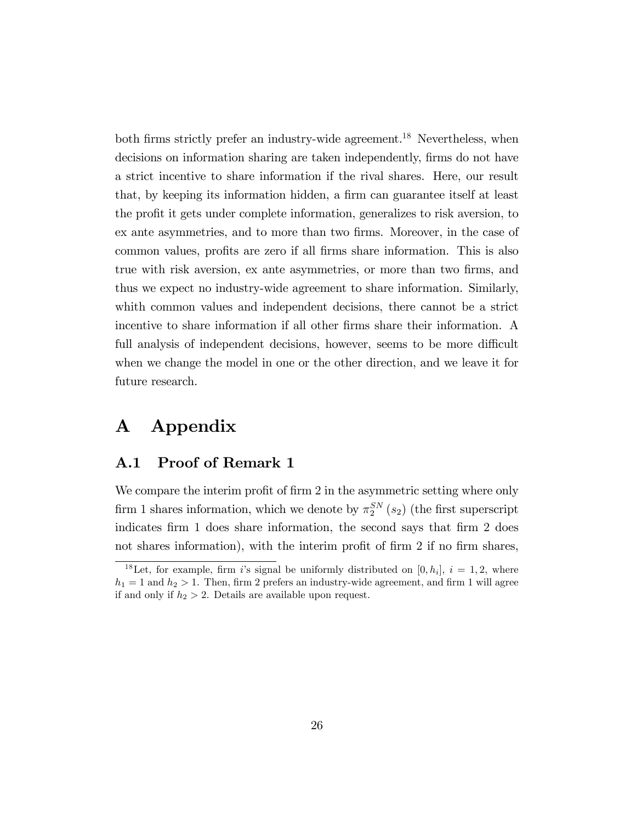both firms strictly prefer an industry-wide agreement.<sup>18</sup> Nevertheless, when decisions on information sharing are taken independently, firms do not have a strict incentive to share information if the rival shares. Here, our result that, by keeping its information hidden, a firm can guarantee itself at least the proÖt it gets under complete information, generalizes to risk aversion, to ex ante asymmetries, and to more than two firms. Moreover, in the case of common values, profits are zero if all firms share information. This is also true with risk aversion, ex ante asymmetries, or more than two Örms, and thus we expect no industry-wide agreement to share information. Similarly, whith common values and independent decisions, there cannot be a strict incentive to share information if all other firms share their information. A full analysis of independent decisions, however, seems to be more difficult when we change the model in one or the other direction, and we leave it for future research.

# A Appendix

### A.1 Proof of Remark 1

We compare the interim profit of firm  $2$  in the asymmetric setting where only firm 1 shares information, which we denote by  $\pi_2^{SN}(s_2)$  (the first superscript indicates firm 1 does share information, the second says that firm 2 does not shares information), with the interim profit of firm 2 if no firm shares,

<sup>&</sup>lt;sup>18</sup>Let, for example, firm i's signal be uniformly distributed on [0,  $h_i$ ],  $i = 1, 2$ , where  $h_1 = 1$  and  $h_2 > 1$ . Then, firm 2 prefers an industry-wide agreement, and firm 1 will agree if and only if  $h_2 > 2$ . Details are available upon request.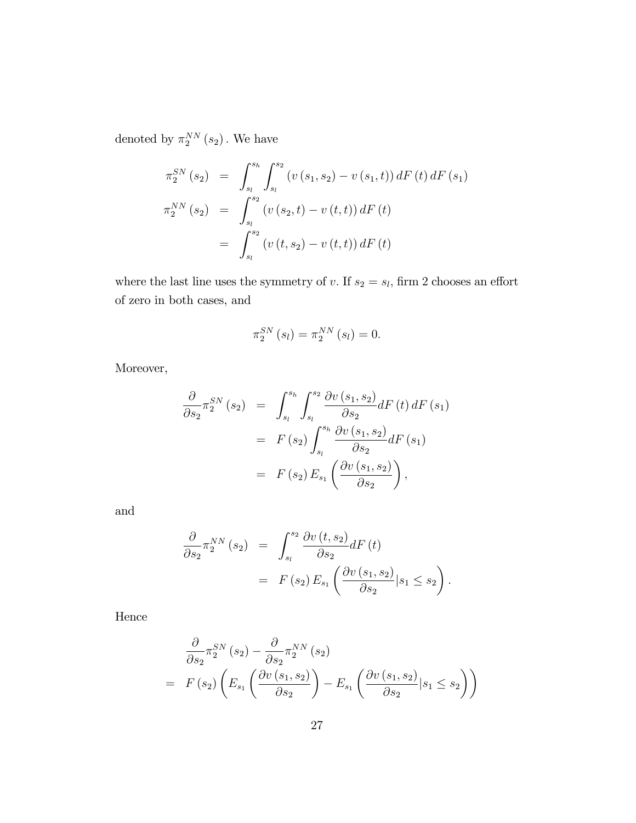denoted by  $\pi_2^{NN}(s_2)$ . We have

$$
\pi_2^{SN}(s_2) = \int_{s_l}^{s_h} \int_{s_l}^{s_2} (v(s_1, s_2) - v(s_1, t)) dF(t) dF(s_1)
$$
  

$$
\pi_2^{NN}(s_2) = \int_{s_l}^{s_2} (v(s_2, t) - v(t, t)) dF(t)
$$
  

$$
= \int_{s_l}^{s_2} (v(t, s_2) - v(t, t)) dF(t)
$$

where the last line uses the symmetry of v. If  $s_2 = s_l$ , firm 2 chooses an effort of zero in both cases, and

$$
\pi_2^{SN}(s_l) = \pi_2^{NN}(s_l) = 0.
$$

Moreover,

$$
\frac{\partial}{\partial s_2} \pi_2^{SN}(s_2) = \int_{s_l}^{s_h} \int_{s_l}^{s_2} \frac{\partial v(s_1, s_2)}{\partial s_2} dF(t) dF(s_1)
$$

$$
= F(s_2) \int_{s_l}^{s_h} \frac{\partial v(s_1, s_2)}{\partial s_2} dF(s_1)
$$

$$
= F(s_2) E_{s_1} \left( \frac{\partial v(s_1, s_2)}{\partial s_2} \right),
$$

and

$$
\frac{\partial}{\partial s_2} \pi_2^{NN}(s_2) = \int_{s_l}^{s_2} \frac{\partial v(t, s_2)}{\partial s_2} dF(t)
$$
  
=  $F(s_2) E_{s_1} \left( \frac{\partial v(s_1, s_2)}{\partial s_2} | s_1 \le s_2 \right).$ 

Hence

$$
\frac{\partial}{\partial s_2} \pi_2^{SN}(s_2) - \frac{\partial}{\partial s_2} \pi_2^{NN}(s_2)
$$
\n
$$
= F(s_2) \left( E_{s_1} \left( \frac{\partial v(s_1, s_2)}{\partial s_2} \right) - E_{s_1} \left( \frac{\partial v(s_1, s_2)}{\partial s_2} | s_1 \le s_2 \right) \right)
$$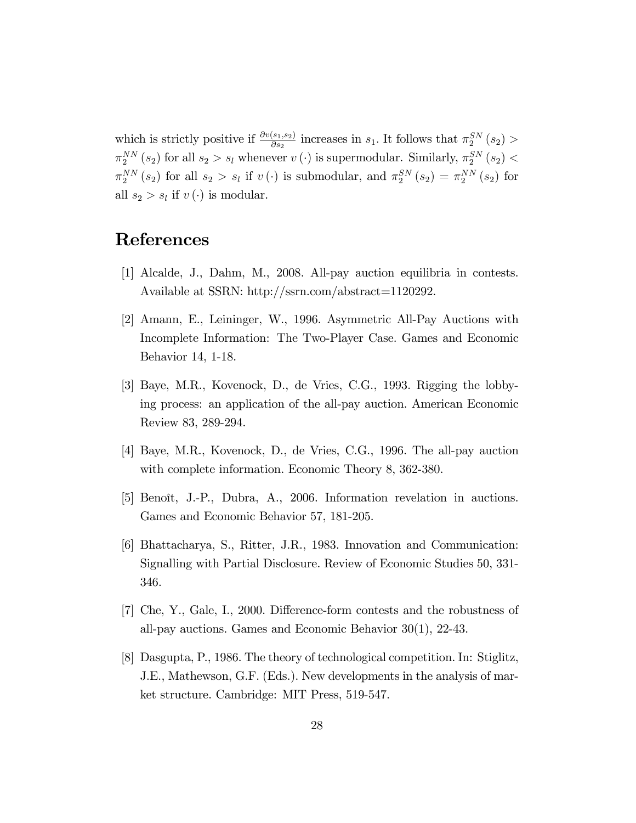which is strictly positive if  $\frac{\partial v(s_1, s_2)}{\partial s_2}$  increases in  $s_1$ . It follows that  $\pi_2^{SN}(s_2)$  $\pi_2^{NN}(s_2)$  for all  $s_2 > s_l$  whenever  $v(\cdot)$  is supermodular. Similarly,  $\pi_2^{SN}(s_2)$  <  $\pi_2^{NN}(s_2)$  for all  $s_2 > s_l$  if  $v(\cdot)$  is submodular, and  $\pi_2^{SN}(s_2) = \pi_2^{NN}(s_2)$  for all  $s_2 > s_l$  if  $v(\cdot)$  is modular.

## References

- [1] Alcalde, J., Dahm, M., 2008. All-pay auction equilibria in contests. Available at SSRN: http://ssrn.com/abstract=1120292.
- [2] Amann, E., Leininger, W., 1996. Asymmetric All-Pay Auctions with Incomplete Information: The Two-Player Case. Games and Economic Behavior 14, 1-18.
- [3] Baye, M.R., Kovenock, D., de Vries, C.G., 1993. Rigging the lobbying process: an application of the all-pay auction. American Economic Review 83, 289-294.
- [4] Baye, M.R., Kovenock, D., de Vries, C.G., 1996. The all-pay auction with complete information. Economic Theory 8, 362-380.
- [5] Benoît, J.-P., Dubra, A., 2006. Information revelation in auctions. Games and Economic Behavior 57, 181-205.
- [6] Bhattacharya, S., Ritter, J.R., 1983. Innovation and Communication: Signalling with Partial Disclosure. Review of Economic Studies 50, 331- 346.
- $[7]$  Che, Y., Gale, I., 2000. Difference-form contests and the robustness of all-pay auctions. Games and Economic Behavior 30(1), 22-43.
- [8] Dasgupta, P., 1986. The theory of technological competition. In: Stiglitz, J.E., Mathewson, G.F. (Eds.). New developments in the analysis of market structure. Cambridge: MIT Press, 519-547.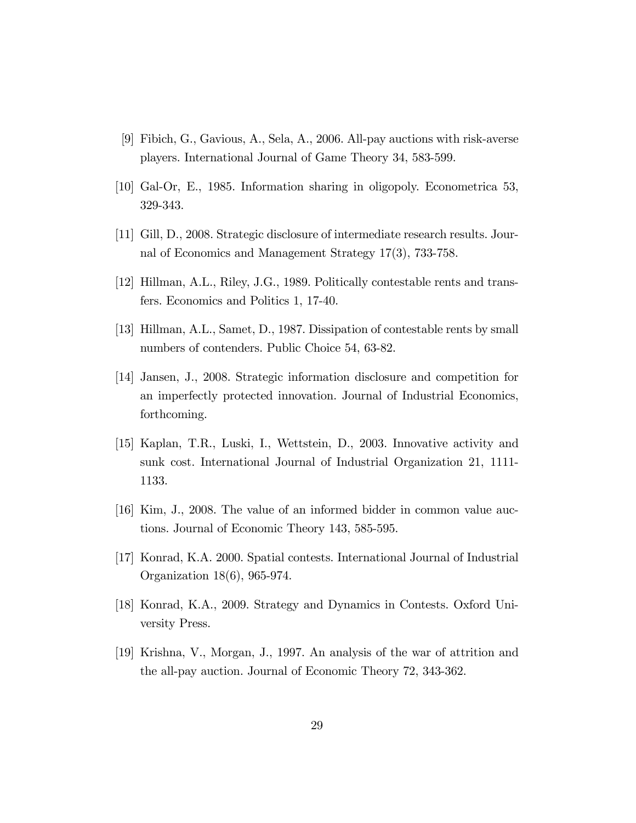- [9] Fibich, G., Gavious, A., Sela, A., 2006. All-pay auctions with risk-averse players. International Journal of Game Theory 34, 583-599.
- [10] Gal-Or, E., 1985. Information sharing in oligopoly. Econometrica 53, 329-343.
- [11] Gill, D., 2008. Strategic disclosure of intermediate research results. Journal of Economics and Management Strategy 17(3), 733-758.
- [12] Hillman, A.L., Riley, J.G., 1989. Politically contestable rents and transfers. Economics and Politics 1, 17-40.
- [13] Hillman, A.L., Samet, D., 1987. Dissipation of contestable rents by small numbers of contenders. Public Choice 54, 63-82.
- [14] Jansen, J., 2008. Strategic information disclosure and competition for an imperfectly protected innovation. Journal of Industrial Economics, forthcoming.
- [15] Kaplan, T.R., Luski, I., Wettstein, D., 2003. Innovative activity and sunk cost. International Journal of Industrial Organization 21, 1111- 1133.
- [16] Kim, J., 2008. The value of an informed bidder in common value auctions. Journal of Economic Theory 143, 585-595.
- [17] Konrad, K.A. 2000. Spatial contests. International Journal of Industrial Organization 18(6), 965-974.
- [18] Konrad, K.A., 2009. Strategy and Dynamics in Contests. Oxford University Press.
- [19] Krishna, V., Morgan, J., 1997. An analysis of the war of attrition and the all-pay auction. Journal of Economic Theory 72, 343-362.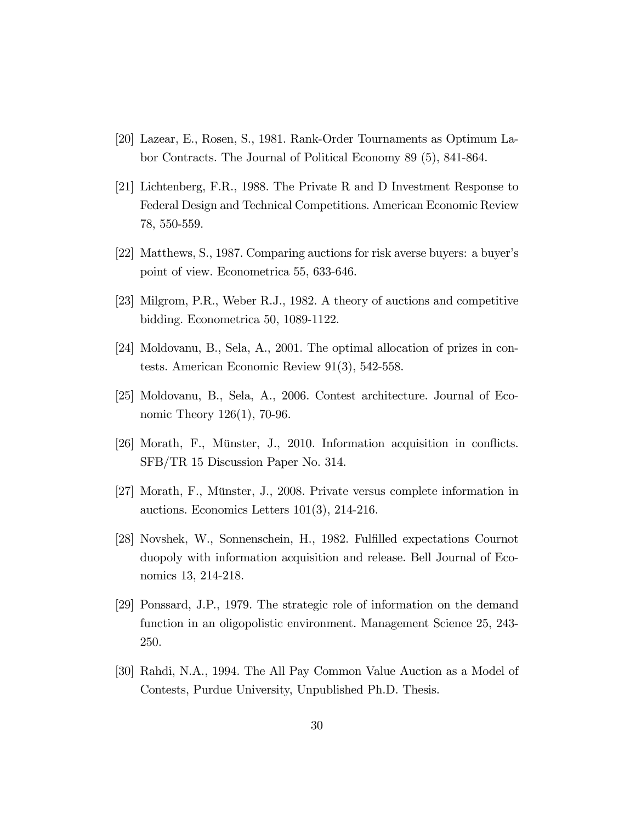- [20] Lazear, E., Rosen, S., 1981. Rank-Order Tournaments as Optimum Labor Contracts. The Journal of Political Economy 89 (5), 841-864.
- [21] Lichtenberg, F.R., 1988. The Private R and D Investment Response to Federal Design and Technical Competitions. American Economic Review 78, 550-559.
- [22] Matthews, S., 1987. Comparing auctions for risk averse buyers: a buyerís point of view. Econometrica 55, 633-646.
- [23] Milgrom, P.R., Weber R.J., 1982. A theory of auctions and competitive bidding. Econometrica 50, 1089-1122.
- [24] Moldovanu, B., Sela, A., 2001. The optimal allocation of prizes in contests. American Economic Review 91(3), 542-558.
- [25] Moldovanu, B., Sela, A., 2006. Contest architecture. Journal of Economic Theory 126(1), 70-96.
- $[26]$  Morath, F., Münster, J., 2010. Information acquisition in conflicts. SFB/TR 15 Discussion Paper No. 314.
- [27] Morath, F., Münster, J., 2008. Private versus complete information in auctions. Economics Letters 101(3), 214-216.
- [28] Novshek, W., Sonnenschein, H., 1982. Fulfilled expectations Cournot duopoly with information acquisition and release. Bell Journal of Economics 13, 214-218.
- [29] Ponssard, J.P., 1979. The strategic role of information on the demand function in an oligopolistic environment. Management Science 25, 243- 250.
- [30] Rahdi, N.A., 1994. The All Pay Common Value Auction as a Model of Contests, Purdue University, Unpublished Ph.D. Thesis.